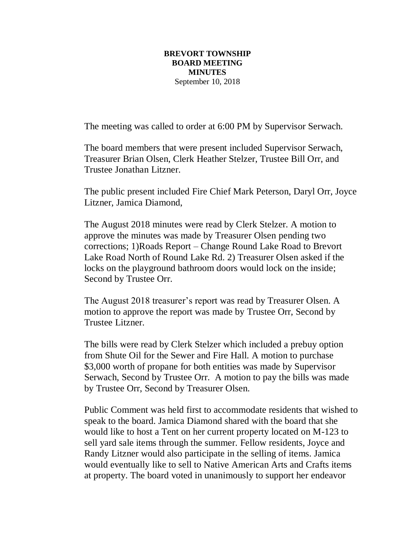## **BREVORT TOWNSHIP BOARD MEETING MINUTES**  September 10, 2018

The meeting was called to order at 6:00 PM by Supervisor Serwach.

The board members that were present included Supervisor Serwach, Treasurer Brian Olsen, Clerk Heather Stelzer, Trustee Bill Orr, and Trustee Jonathan Litzner.

The public present included Fire Chief Mark Peterson, Daryl Orr, Joyce Litzner, Jamica Diamond,

The August 2018 minutes were read by Clerk Stelzer. A motion to approve the minutes was made by Treasurer Olsen pending two corrections; 1)Roads Report – Change Round Lake Road to Brevort Lake Road North of Round Lake Rd. 2) Treasurer Olsen asked if the locks on the playground bathroom doors would lock on the inside; Second by Trustee Orr.

The August 2018 treasurer's report was read by Treasurer Olsen. A motion to approve the report was made by Trustee Orr, Second by Trustee Litzner.

The bills were read by Clerk Stelzer which included a prebuy option from Shute Oil for the Sewer and Fire Hall. A motion to purchase \$3,000 worth of propane for both entities was made by Supervisor Serwach, Second by Trustee Orr. A motion to pay the bills was made by Trustee Orr, Second by Treasurer Olsen.

Public Comment was held first to accommodate residents that wished to speak to the board. Jamica Diamond shared with the board that she would like to host a Tent on her current property located on M-123 to sell yard sale items through the summer. Fellow residents, Joyce and Randy Litzner would also participate in the selling of items. Jamica would eventually like to sell to Native American Arts and Crafts items at property. The board voted in unanimously to support her endeavor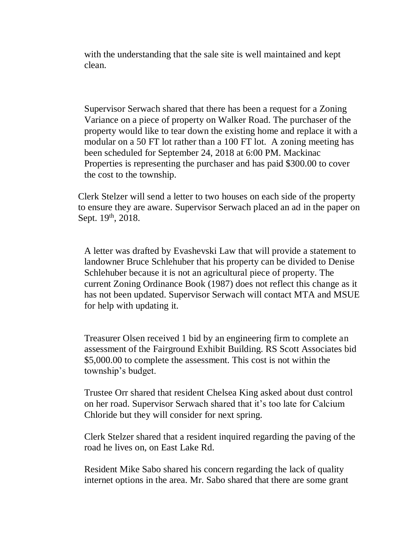with the understanding that the sale site is well maintained and kept clean.

Supervisor Serwach shared that there has been a request for a Zoning Variance on a piece of property on Walker Road. The purchaser of the property would like to tear down the existing home and replace it with a modular on a 50 FT lot rather than a 100 FT lot. A zoning meeting has been scheduled for September 24, 2018 at 6:00 PM. Mackinac Properties is representing the purchaser and has paid \$300.00 to cover the cost to the township.

Clerk Stelzer will send a letter to two houses on each side of the property to ensure they are aware. Supervisor Serwach placed an ad in the paper on Sept. 19th, 2018.

A letter was drafted by Evashevski Law that will provide a statement to landowner Bruce Schlehuber that his property can be divided to Denise Schlehuber because it is not an agricultural piece of property. The current Zoning Ordinance Book (1987) does not reflect this change as it has not been updated. Supervisor Serwach will contact MTA and MSUE for help with updating it.

Treasurer Olsen received 1 bid by an engineering firm to complete an assessment of the Fairground Exhibit Building. RS Scott Associates bid \$5,000.00 to complete the assessment. This cost is not within the township's budget.

Trustee Orr shared that resident Chelsea King asked about dust control on her road. Supervisor Serwach shared that it's too late for Calcium Chloride but they will consider for next spring.

Clerk Stelzer shared that a resident inquired regarding the paving of the road he lives on, on East Lake Rd.

Resident Mike Sabo shared his concern regarding the lack of quality internet options in the area. Mr. Sabo shared that there are some grant